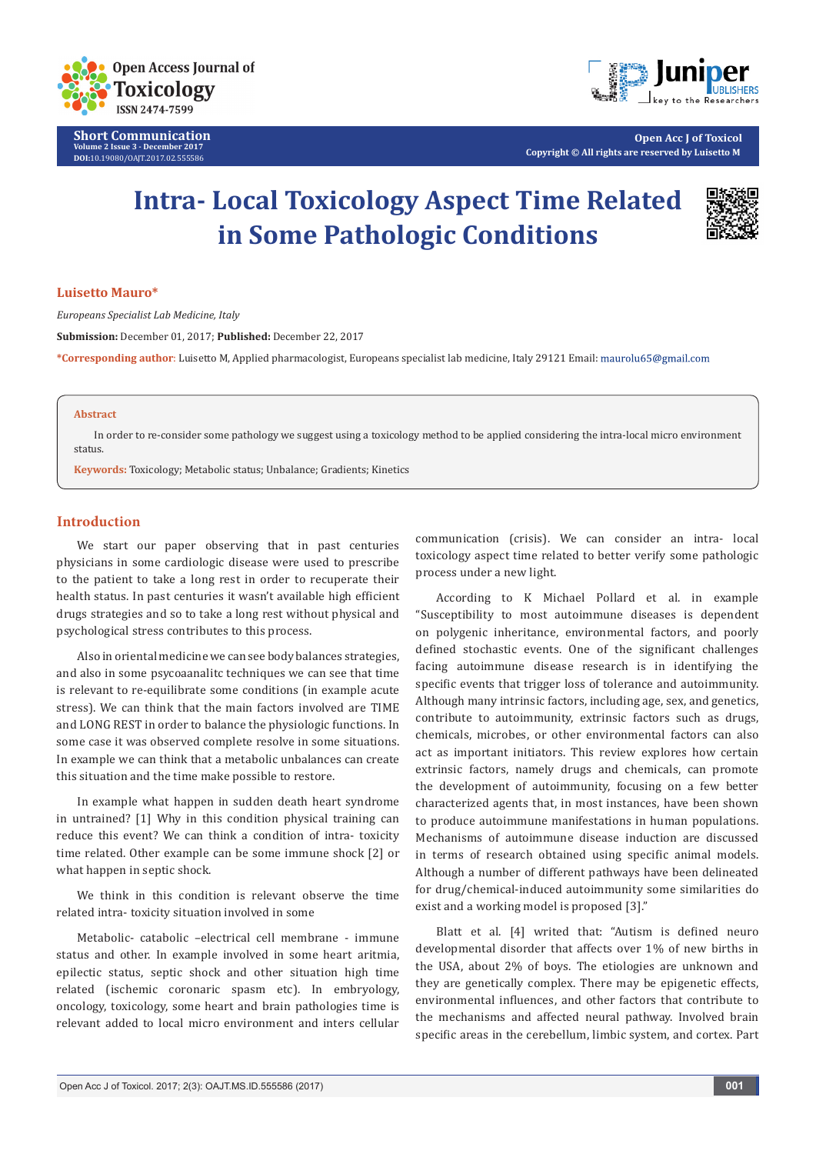

**Short Communication Volume 2 Issue 3 - December 2017 DOI:**[10.19080/OAJT.2017.02.555586](http://dx.doi.org/10.19080/OAJT.2017.02.555586)



**Open Acc J of Toxicol Copyright © All rights are reserved by Luisetto M**

# **Intra- Local Toxicology Aspect Time Related in Some Pathologic Conditions**



### **Luisetto Mauro\***

*Europeans Specialist Lab Medicine, Italy* 

**Submission:** December 01, 2017; **Published:** December 22, 2017

**\*Corresponding author**: Luisetto M, Applied pharmacologist, Europeans specialist lab medicine, Italy 29121 Email:

#### **Abstract**

In order to re-consider some pathology we suggest using a toxicology method to be applied considering the intra-local micro environment status.

**Keywords:** Toxicology; Metabolic status; Unbalance; Gradients; Kinetics

#### **Introduction**

We start our paper observing that in past centuries physicians in some cardiologic disease were used to prescribe to the patient to take a long rest in order to recuperate their health status. In past centuries it wasn't available high efficient drugs strategies and so to take a long rest without physical and psychological stress contributes to this process.

Also in oriental medicine we can see body balances strategies, and also in some psycoaanalitc techniques we can see that time is relevant to re-equilibrate some conditions (in example acute stress). We can think that the main factors involved are TIME and LONG REST in order to balance the physiologic functions. In some case it was observed complete resolve in some situations. In example we can think that a metabolic unbalances can create this situation and the time make possible to restore.

In example what happen in sudden death heart syndrome in untrained? [1] Why in this condition physical training can reduce this event? We can think a condition of intra- toxicity time related. Other example can be some immune shock [2] or what happen in septic shock.

We think in this condition is relevant observe the time related intra- toxicity situation involved in some

Metabolic- catabolic –electrical cell membrane - immune status and other. In example involved in some heart aritmia, epilectic status, septic shock and other situation high time related (ischemic coronaric spasm etc). In embryology, oncology, toxicology, some heart and brain pathologies time is relevant added to local micro environment and inters cellular

communication (crisis). We can consider an intra- local toxicology aspect time related to better verify some pathologic process under a new light.

According to K Michael Pollard et al. in example "Susceptibility to most autoimmune diseases is dependent on polygenic inheritance, environmental factors, and poorly defined stochastic events. One of the significant challenges facing autoimmune disease research is in identifying the specific events that trigger loss of tolerance and autoimmunity. Although many intrinsic factors, including age, sex, and genetics, contribute to autoimmunity, extrinsic factors such as drugs, chemicals, microbes, or other environmental factors can also act as important initiators. This review explores how certain extrinsic factors, namely drugs and chemicals, can promote the development of autoimmunity, focusing on a few better characterized agents that, in most instances, have been shown to produce autoimmune manifestations in human populations. Mechanisms of autoimmune disease induction are discussed in terms of research obtained using specific animal models. Although a number of different pathways have been delineated for drug/chemical-induced autoimmunity some similarities do exist and a working model is proposed [3]."

Blatt et al. [4] writed that: "Autism is defined neuro developmental disorder that affects over 1% of new births in the USA, about 2% of boys. The etiologies are unknown and they are genetically complex. There may be epigenetic effects, environmental influences, and other factors that contribute to the mechanisms and affected neural pathway. Involved brain specific areas in the cerebellum, limbic system, and cortex. Part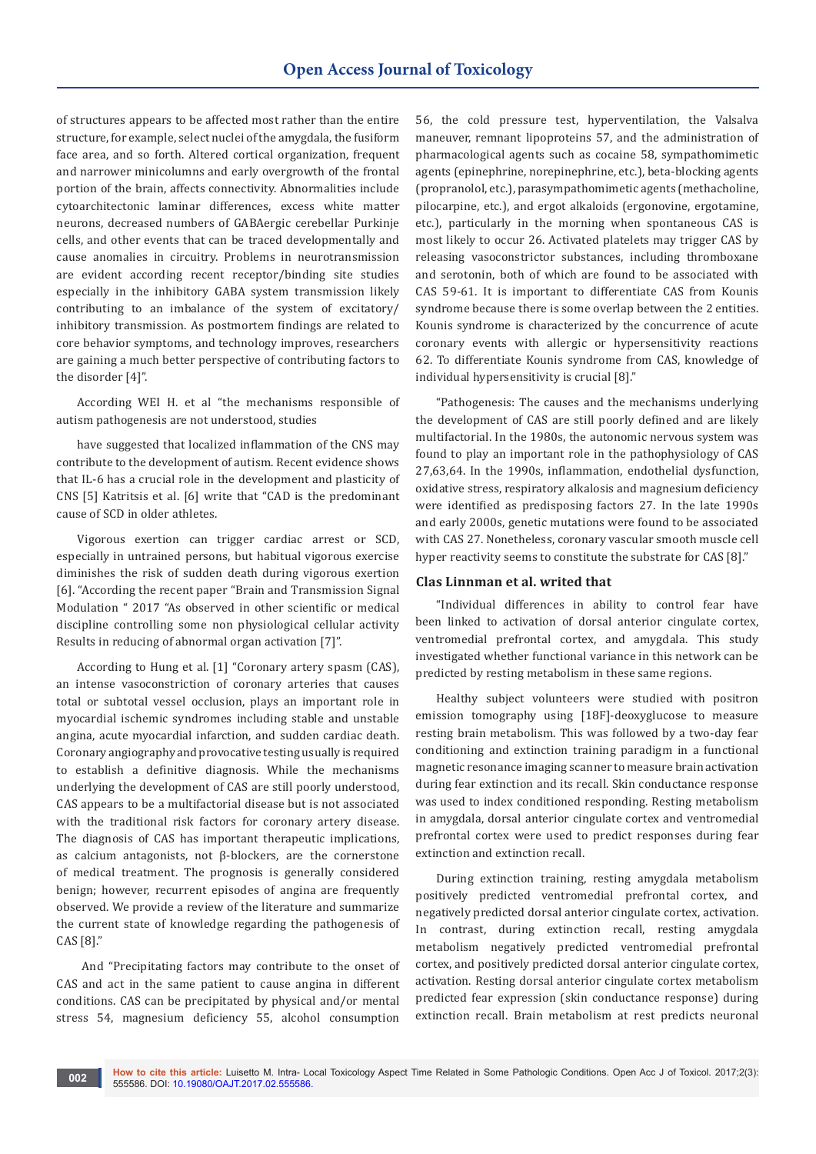of structures appears to be affected most rather than the entire structure, for example, select nuclei of the amygdala, the fusiform face area, and so forth. Altered cortical organization, frequent and narrower minicolumns and early overgrowth of the frontal portion of the brain, affects connectivity. Abnormalities include cytoarchitectonic laminar differences, excess white matter neurons, decreased numbers of GABAergic cerebellar Purkinje cells, and other events that can be traced developmentally and cause anomalies in circuitry. Problems in neurotransmission are evident according recent receptor/binding site studies especially in the inhibitory GABA system transmission likely contributing to an imbalance of the system of excitatory/ inhibitory transmission. As postmortem findings are related to core behavior symptoms, and technology improves, researchers are gaining a much better perspective of contributing factors to the disorder [4]".

According WEI H. et al "the mechanisms responsible of autism pathogenesis are not understood, studies

have suggested that localized inflammation of the CNS may contribute to the development of autism. Recent evidence shows that IL-6 has a crucial role in the development and plasticity of CNS [5] Katritsis et al. [6] write that "CAD is the predominant cause of SCD in older athletes.

Vigorous exertion can trigger cardiac arrest or SCD, especially in untrained persons, but habitual vigorous exercise diminishes the risk of sudden death during vigorous exertion [6]. "According the recent paper "Brain and Transmission Signal Modulation " 2017 "As observed in other scientific or medical discipline controlling some non physiological cellular activity Results in reducing of abnormal organ activation [7]".

According to Hung et al. [1] "Coronary artery spasm (CAS), an intense vasoconstriction of coronary arteries that causes total or subtotal vessel occlusion, plays an important role in myocardial ischemic syndromes including stable and unstable angina, acute myocardial infarction, and sudden cardiac death. Coronary angiography and provocative testing usually is required to establish a definitive diagnosis. While the mechanisms underlying the development of CAS are still poorly understood, CAS appears to be a multifactorial disease but is not associated with the traditional risk factors for coronary artery disease. The diagnosis of CAS has important therapeutic implications, as calcium antagonists, not β-blockers, are the cornerstone of medical treatment. The prognosis is generally considered benign; however, recurrent episodes of angina are frequently observed. We provide a review of the literature and summarize the current state of knowledge regarding the pathogenesis of CAS [8]."

 And "Precipitating factors may contribute to the onset of CAS and act in the same patient to cause angina in different conditions. CAS can be precipitated by physical and/or mental stress 54, magnesium deficiency 55, alcohol consumption

56, the cold pressure test, hyperventilation, the Valsalva maneuver, remnant lipoproteins 57, and the administration of pharmacological agents such as cocaine 58, sympathomimetic agents (epinephrine, norepinephrine, etc.), beta-blocking agents (propranolol, etc.), parasympathomimetic agents (methacholine, pilocarpine, etc.), and ergot alkaloids (ergonovine, ergotamine, etc.), particularly in the morning when spontaneous CAS is most likely to occur 26. Activated platelets may trigger CAS by releasing vasoconstrictor substances, including thromboxane and serotonin, both of which are found to be associated with CAS 59-61. It is important to differentiate CAS from Kounis syndrome because there is some overlap between the 2 entities. Kounis syndrome is characterized by the concurrence of acute coronary events with allergic or hypersensitivity reactions 62. To differentiate Kounis syndrome from CAS, knowledge of individual hypersensitivity is crucial [8]."

"Pathogenesis: The causes and the mechanisms underlying the development of CAS are still poorly defined and are likely multifactorial. In the 1980s, the autonomic nervous system was found to play an important role in the pathophysiology of CAS 27,63,64. In the 1990s, inflammation, endothelial dysfunction, oxidative stress, respiratory alkalosis and magnesium deficiency were identified as predisposing factors 27. In the late 1990s and early 2000s, genetic mutations were found to be associated with CAS 27. Nonetheless, coronary vascular smooth muscle cell hyper reactivity seems to constitute the substrate for CAS [8]."

### **Clas Linnman et al. writed that**

"Individual differences in ability to control fear have been linked to activation of dorsal anterior cingulate cortex, ventromedial prefrontal cortex, and amygdala. This study investigated whether functional variance in this network can be predicted by resting metabolism in these same regions.

Healthy subject volunteers were studied with positron emission tomography using [18F]-deoxyglucose to measure resting brain metabolism. This was followed by a two-day fear conditioning and extinction training paradigm in a functional magnetic resonance imaging scanner to measure brain activation during fear extinction and its recall. Skin conductance response was used to index conditioned responding. Resting metabolism in amygdala, dorsal anterior cingulate cortex and ventromedial prefrontal cortex were used to predict responses during fear extinction and extinction recall.

During extinction training, resting amygdala metabolism positively predicted ventromedial prefrontal cortex, and negatively predicted dorsal anterior cingulate cortex, activation. In contrast, during extinction recall, resting amygdala metabolism negatively predicted ventromedial prefrontal cortex, and positively predicted dorsal anterior cingulate cortex, activation. Resting dorsal anterior cingulate cortex metabolism predicted fear expression (skin conductance response) during extinction recall. Brain metabolism at rest predicts neuronal